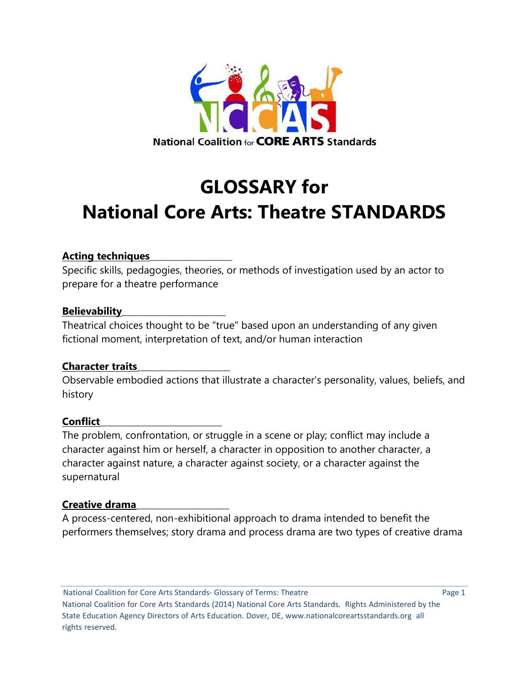

# **GLOSSARY for National Core Arts: Theatre STANDARDS**

# **Acting techniques**\_\_\_\_\_\_\_\_\_\_\_\_\_\_\_\_\_\_\_\_\_\_\_

Specific skills, pedagogies, theories, or methods of investigation used by an actor to prepare for a theatre performance

# **Believability**\_\_\_\_\_\_\_\_\_\_\_\_\_\_\_\_\_\_\_\_\_\_\_\_\_\_\_\_\_

Theatrical choices thought to be "true" based upon an understanding of any given fictional moment, interpretation of text, and/or human interaction

# **Character traits**\_\_\_\_\_\_\_\_\_\_\_\_\_\_\_\_\_\_\_\_\_\_\_\_\_\_

Observable embodied actions that illustrate a character's personality, values, beliefs, and history

#### **Conflict**\_\_\_\_\_\_\_\_\_\_\_\_\_\_\_\_\_\_\_\_\_\_\_\_\_\_\_\_\_\_\_\_\_\_

The problem, confrontation, or struggle in a scene or play; conflict may include a character against him or herself, a character in opposition to another character, a character against nature, a character against society, or a character against the supernatural

#### **Creative drama**\_\_\_\_\_\_\_\_\_\_\_\_\_\_\_\_\_\_\_\_\_\_\_\_\_\_

A process-centered, non-exhibitional approach to drama intended to benefit the performers themselves; story drama and process drama are two types of creative drama

National Coalition for Core Arts Standards- Glossary of Terms: Theatre **Page 1** Page 1 National Coalition for Core Arts Standards (2014) National Core Arts Standards. Rights Administered by the State Education Agency Directors of Arts Education. Dover, DE, www.nationalcoreartsstandards.org all rights reserved.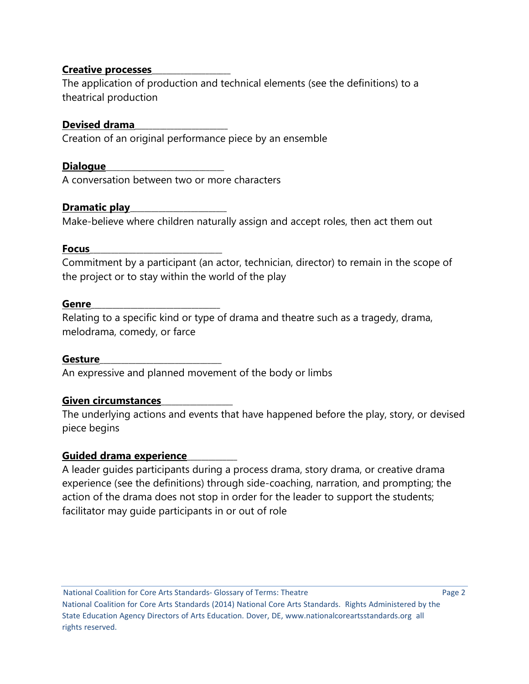# **Creative processes**\_\_\_\_\_\_\_\_\_\_\_\_\_\_\_\_\_\_\_\_\_\_

The application of production and technical elements (see the definitions) to a theatrical production

# **Devised drama**\_\_\_\_\_\_\_\_\_\_\_\_\_\_\_\_\_\_\_\_\_\_\_\_\_\_

Creation of an original performance piece by an ensemble

# **Dialogue**\_\_\_\_\_\_\_\_\_\_\_\_\_\_\_\_\_\_\_\_\_\_\_\_\_\_\_\_\_\_\_\_\_

A conversation between two or more characters

# **Dramatic play**\_\_\_\_\_\_\_\_\_\_\_\_\_\_\_\_\_\_\_\_\_\_\_\_\_\_\_

Make-believe where children naturally assign and accept roles, then act them out

# **Focus**\_\_\_\_\_\_\_\_\_\_\_\_\_\_\_\_\_\_\_\_\_\_\_\_\_\_\_\_\_\_\_\_\_\_\_\_\_

Commitment by a participant (an actor, technician, director) to remain in the scope of the project or to stay within the world of the play

# **Genre**\_\_\_\_\_\_\_\_\_\_\_\_\_\_\_\_\_\_\_\_\_\_\_\_\_\_\_\_\_\_\_\_\_\_\_\_

Relating to a specific kind or type of drama and theatre such as a tragedy, drama, melodrama, comedy, or farce

# **Gesture**\_\_\_\_\_\_\_\_\_\_\_\_\_\_\_\_\_\_\_\_\_\_\_\_\_\_\_\_\_\_\_\_\_\_

An expressive and planned movement of the body or limbs

# **Given circumstances**\_\_\_\_\_\_\_\_\_\_\_\_\_\_\_\_\_\_\_\_

The underlying actions and events that have happened before the play, story, or devised piece begins

# **Guided drama experience**\_\_\_\_\_\_\_\_\_\_\_\_\_\_

A leader guides participants during a process drama, story drama, or creative drama experience (see the definitions) through side-coaching, narration, and prompting; the action of the drama does not stop in order for the leader to support the students; facilitator may guide participants in or out of role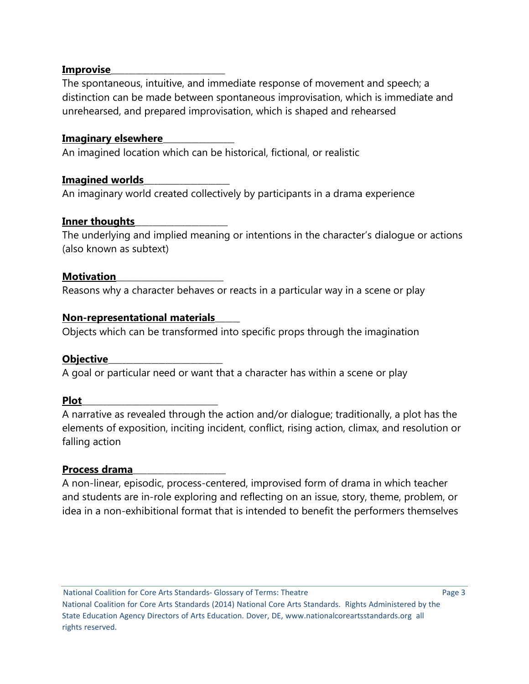# **Improvise**\_\_\_\_\_\_\_\_\_\_\_\_\_\_\_\_\_\_\_\_\_\_\_\_\_\_\_\_\_\_\_\_

The spontaneous, intuitive, and immediate response of movement and speech; a distinction can be made between spontaneous improvisation, which is immediate and unrehearsed, and prepared improvisation, which is shaped and rehearsed

# **Imaginary elsewhere**\_\_\_\_\_\_\_\_\_\_\_\_\_\_\_\_\_\_\_\_

An imagined location which can be historical, fictional, or realistic

# **Imagined worlds**\_\_\_\_\_\_\_\_\_\_\_\_\_\_\_\_\_\_\_\_\_\_\_\_

An imaginary world created collectively by participants in a drama experience

# **Inner thoughts**\_\_\_\_\_\_\_\_\_\_\_\_\_\_\_\_\_\_\_\_\_\_\_\_\_\_

The underlying and implied meaning or intentions in the character's dialogue or actions (also known as subtext)

#### **Motivation**

Reasons why a character behaves or reacts in a particular way in a scene or play

# **Non-representational materials**\_\_\_\_\_\_\_

Objects which can be transformed into specific props through the imagination

#### **Objective**\_\_\_\_\_\_\_\_\_\_\_\_\_\_\_\_\_\_\_\_\_\_\_\_\_\_\_\_\_\_\_\_

A goal or particular need or want that a character has within a scene or play

#### **Plot**\_\_\_\_\_\_\_\_\_\_\_\_\_\_\_\_\_\_\_\_\_\_\_\_\_\_\_\_\_\_\_\_\_\_\_\_\_\_

A narrative as revealed through the action and/or dialogue; traditionally, a plot has the elements of exposition, inciting incident, conflict, rising action, climax, and resolution or falling action

# **Process drama**\_\_\_\_\_\_\_\_\_\_\_\_\_\_\_\_\_\_\_\_\_\_\_\_\_\_

A non-linear, episodic, process-centered, improvised form of drama in which teacher and students are in-role exploring and reflecting on an issue, story, theme, problem, or idea in a non-exhibitional format that is intended to benefit the performers themselves

National Coalition for Core Arts Standards- Glossary of Terms: Theatre **Page 3** Page 3 National Coalition for Core Arts Standards (2014) National Core Arts Standards. Rights Administered by the State Education Agency Directors of Arts Education. Dover, DE, www.nationalcoreartsstandards.org all rights reserved.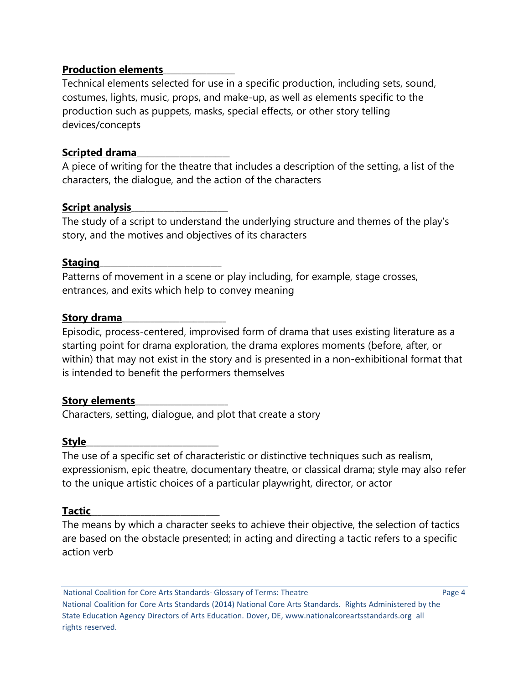# **Production elements**\_\_\_\_\_\_\_\_\_\_\_\_\_\_\_\_\_\_\_\_

Technical elements selected for use in a specific production, including sets, sound, costumes, lights, music, props, and make-up, as well as elements specific to the production such as puppets, masks, special effects, or other story telling devices/concepts

# **Scripted drama**\_\_\_\_\_\_\_\_\_\_\_\_\_\_\_\_\_\_\_\_\_\_\_\_\_\_

A piece of writing for the theatre that includes a description of the setting, a list of the characters, the dialogue, and the action of the characters

# **Script analysis**\_\_\_\_\_\_\_\_\_\_\_\_\_\_\_\_\_\_\_\_\_\_\_\_\_\_\_

The study of a script to understand the underlying structure and themes of the play's story, and the motives and objectives of its characters

# Staging

Patterns of movement in a scene or play including, for example, stage crosses, entrances, and exits which help to convey meaning

# **Story drama\_**

Episodic, process-centered, improvised form of drama that uses existing literature as a starting point for drama exploration, the drama explores moments (before, after, or within) that may not exist in the story and is presented in a non-exhibitional format that is intended to benefit the performers themselves

# **Story elements**\_\_\_\_\_\_\_\_\_\_\_\_\_\_\_\_\_\_\_\_\_\_\_\_\_\_

Characters, setting, dialogue, and plot that create a story

#### **Style**\_\_\_\_\_\_\_\_\_\_\_\_\_\_\_\_\_\_\_\_\_\_\_\_\_\_\_\_\_\_\_\_\_\_\_\_\_

The use of a specific set of characteristic or distinctive techniques such as realism, expressionism, epic theatre, documentary theatre, or classical drama; style may also refer to the unique artistic choices of a particular playwright, director, or actor

# **Tactic**\_\_\_\_\_\_\_\_\_\_\_\_\_\_\_\_\_\_\_\_\_\_\_\_\_\_\_\_\_\_\_\_\_\_\_\_

The means by which a character seeks to achieve their objective, the selection of tactics are based on the obstacle presented; in acting and directing a tactic refers to a specific action verb

National Coalition for Core Arts Standards- Glossary of Terms: Theatre Page 4 National Coalition for Core Arts Standards (2014) National Core Arts Standards. Rights Administered by the State Education Agency Directors of Arts Education. Dover, DE, www.nationalcoreartsstandards.org all rights reserved.